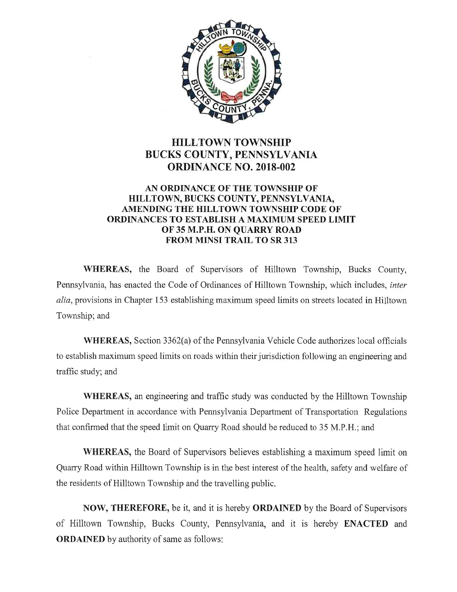

# **HILLTOWN TOWNSHIP** BUCKS COUNTY, PENNSYLVANIA ORDINANCE N0. 2018-002

## AN ORDINANCE OF THE TOWNSHIP OF HILLTOWN, BUCKS COUNTY, PENNSYLVANIA, AMENDING THE HILLTOWN TOWNSHIP CODE OF ORDINANCES TO ESTABLISH A MAXIMUM SPEED LIMIT OF 35 M.P.H. ON QUARRY ROAD FROM MINSI TRAIL TO SR 313

WHEREAS, the Board of Supervisors of Hilltown Township, Bucks County, Pennsylvania, has enacted the Code of Ordinances of Hilltown Township, which includes, inter alia, provisions in Chapter 153 establishing maximum speed limits on streets located in Hilltown Township; and

WHEREAS, Section 3362(a) of the Pennsylvania Vehicle Code authorizes local officials to establish maximum speed limits on roads within their jurisdiction following an engineering and traffic study; and

WHEREAS, an engineering and traffic study was conducted by the Hilltown Township Police Department in accordance with Pennsylvania Department of Transportation Regulations that confirmed that the speed limit on Quarry Road should be reduced to 35 M.P.H.; and

WHEREAS, the Board of Supervisors believes establishing a maximum speed limit on Quarry Road within Hilltown Township is in the best interest of the health, safety and welfare of the residents of Hilltown Township and the travelling public.

NOW, THEREFORE, be it, and it is hereby ORDAINED by the Board of Supervisors of Hilltown Township, Bucks County, Pennsylvania, and it is hereby ENACTED and ORDAINED by authority of same as follows: